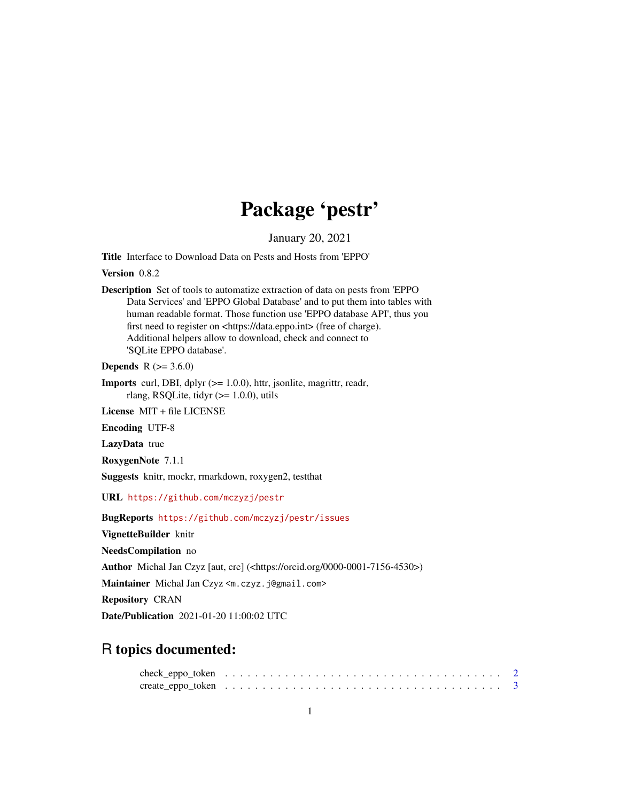## Package 'pestr'

January 20, 2021

Title Interface to Download Data on Pests and Hosts from 'EPPO'

Version 0.8.2

Description Set of tools to automatize extraction of data on pests from 'EPPO Data Services' and 'EPPO Global Database' and to put them into tables with human readable format. Those function use 'EPPO database API', thus you first need to register on <https://data.eppo.int> (free of charge). Additional helpers allow to download, check and connect to 'SQLite EPPO database'.

**Depends** R  $(>= 3.6.0)$ 

Imports curl, DBI, dplyr (>= 1.0.0), httr, jsonlite, magrittr, readr, rlang, RSQLite, tidyr  $(>= 1.0.0)$ , utils

License MIT + file LICENSE

Encoding UTF-8

LazyData true

RoxygenNote 7.1.1

Suggests knitr, mockr, rmarkdown, roxygen2, testthat

URL <https://github.com/mczyzj/pestr>

BugReports <https://github.com/mczyzj/pestr/issues>

VignetteBuilder knitr

NeedsCompilation no

Author Michal Jan Czyz [aut, cre] (<https://orcid.org/0000-0001-7156-4530>)

Maintainer Michal Jan Czyz <m.czyz.j@gmail.com>

Repository CRAN

Date/Publication 2021-01-20 11:00:02 UTC

### R topics documented: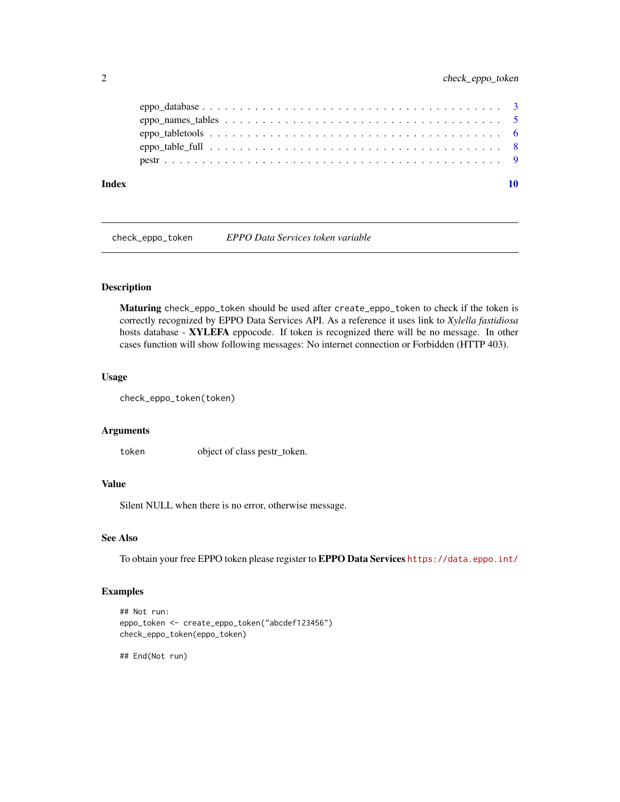<span id="page-1-0"></span>

| Index |  |
|-------|--|
|       |  |
|       |  |
|       |  |
|       |  |
|       |  |

check\_eppo\_token *EPPO Data Services token variable*

#### Description

Maturing check\_eppo\_token should be used after create\_eppo\_token to check if the token is correctly recognized by EPPO Data Services API. As a reference it uses link to *Xylella fastidiosa* hosts database - XYLEFA eppocode. If token is recognized there will be no message. In other cases function will show following messages: No internet connection or Forbidden (HTTP 403).

#### Usage

```
check_eppo_token(token)
```
#### Arguments

token object of class pestr\_token.

#### Value

Silent NULL when there is no error, otherwise message.

#### See Also

To obtain your free EPPO token please register to EPPO Data Services <https://data.eppo.int/>

#### Examples

```
## Not run:
eppo_token <- create_eppo_token("abcdef123456")
check_eppo_token(eppo_token)
```
## End(Not run)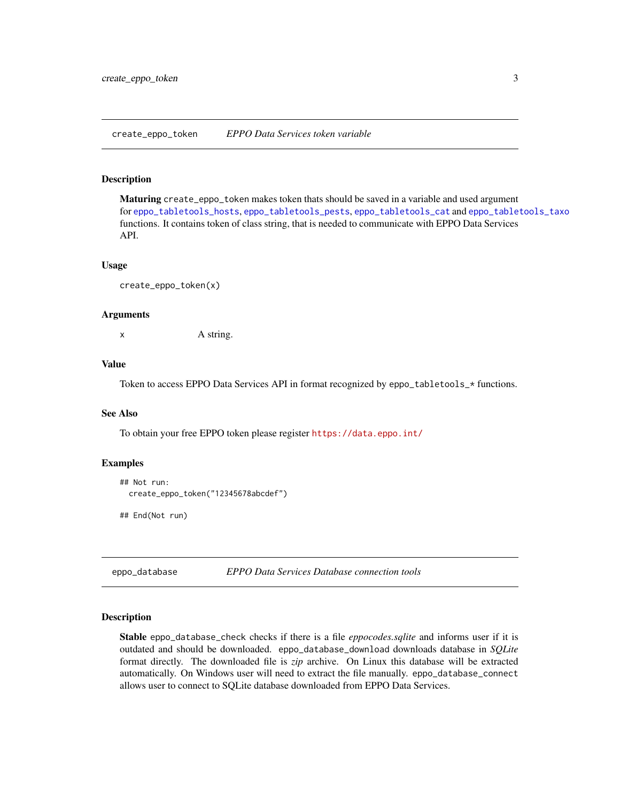<span id="page-2-1"></span><span id="page-2-0"></span>create\_eppo\_token *EPPO Data Services token variable*

#### Description

Maturing create\_eppo\_token makes token thats should be saved in a variable and used argument for [eppo\\_tabletools\\_hosts](#page-5-1), [eppo\\_tabletools\\_pests](#page-5-1), [eppo\\_tabletools\\_cat](#page-5-1) and [eppo\\_tabletools\\_taxo](#page-5-1) functions. It contains token of class string, that is needed to communicate with EPPO Data Services API.

#### Usage

```
create_eppo_token(x)
```
#### Arguments

x A string.

#### Value

Token to access EPPO Data Services API in format recognized by eppo\_tabletools\_\* functions.

#### See Also

To obtain your free EPPO token please register <https://data.eppo.int/>

#### Examples

```
## Not run:
 create_eppo_token("12345678abcdef")
```
## End(Not run)

eppo\_database *EPPO Data Services Database connection tools*

#### Description

Stable eppo\_database\_check checks if there is a file *eppocodes.sqlite* and informs user if it is outdated and should be downloaded. eppo\_database\_download downloads database in *SQLite* format directly. The downloaded file is *zip* archive. On Linux this database will be extracted automatically. On Windows user will need to extract the file manually. eppo\_database\_connect allows user to connect to SQLite database downloaded from EPPO Data Services.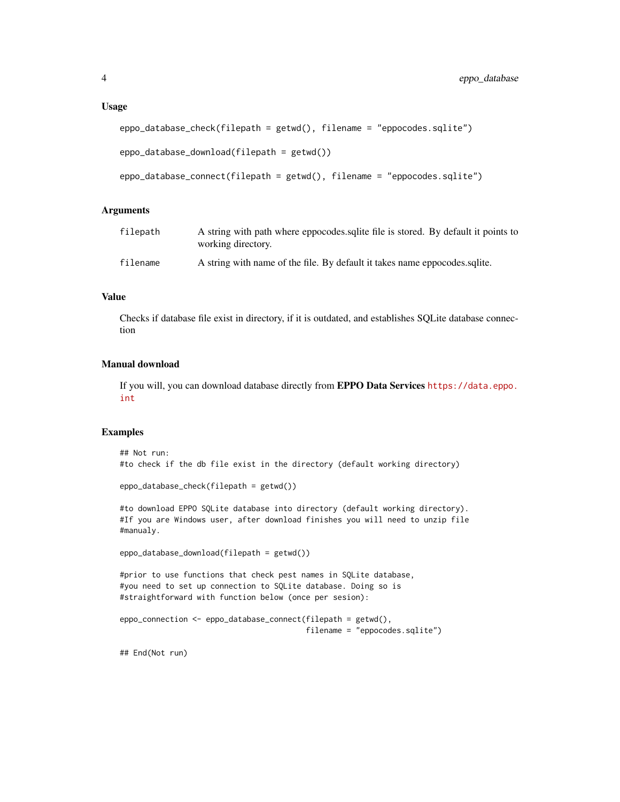#### Usage

```
eppo_database_check(filepath = getwd(), filename = "eppocodes.sqlite")
eppo_database_download(filepath = getwd())
```

```
eppo_database_connect(filepath = getwd(), filename = "eppocodes.sqlite")
```
#### Arguments

| filepath | A string with path where eppocodes sqlite file is stored. By default it points to<br>working directory. |
|----------|---------------------------------------------------------------------------------------------------------|
| filename | A string with name of the file. By default it takes name eppocodes squite.                              |

#### Value

Checks if database file exist in directory, if it is outdated, and establishes SQLite database connection

#### Manual download

If you will, you can download database directly from EPPO Data Services [https://data.eppo.](https://data.eppo.int) [int](https://data.eppo.int)

#### Examples

```
## Not run:
#to check if the db file exist in the directory (default working directory)
eppo_database_check(filepath = getwd())
#to download EPPO SQLite database into directory (default working directory).
#If you are Windows user, after download finishes you will need to unzip file
#manualy.
eppo_database_download(filepath = getwd())
#prior to use functions that check pest names in SQLite database,
#you need to set up connection to SQLite database. Doing so is
#straightforward with function below (once per sesion):
eppo_connection <- eppo_database_connect(filepath = getwd(),
                                         filename = "eppocodes.sqlite")
## End(Not run)
```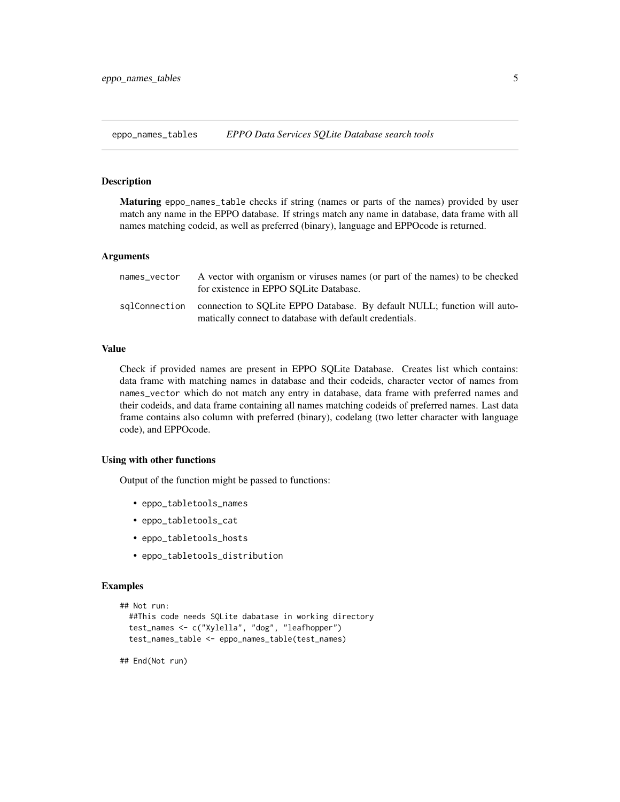<span id="page-4-1"></span><span id="page-4-0"></span>eppo\_names\_tables *EPPO Data Services SQLite Database search tools*

#### Description

Maturing eppo\_names\_table checks if string (names or parts of the names) provided by user match any name in the EPPO database. If strings match any name in database, data frame with all names matching codeid, as well as preferred (binary), language and EPPOcode is returned.

#### Arguments

| names vector | A vector with organism or viruses names (or part of the names) to be checked<br>for existence in EPPO SOLite Database.                            |
|--------------|---------------------------------------------------------------------------------------------------------------------------------------------------|
|              | sqlConnection connection to SQLite EPPO Database. By default NULL; function will auto-<br>matically connect to database with default credentials. |

#### Value

Check if provided names are present in EPPO SQLite Database. Creates list which contains: data frame with matching names in database and their codeids, character vector of names from names\_vector which do not match any entry in database, data frame with preferred names and their codeids, and data frame containing all names matching codeids of preferred names. Last data frame contains also column with preferred (binary), codelang (two letter character with language code), and EPPOcode.

#### Using with other functions

Output of the function might be passed to functions:

- eppo\_tabletools\_names
- eppo\_tabletools\_cat
- eppo\_tabletools\_hosts
- eppo\_tabletools\_distribution

#### Examples

```
## Not run:
 ##This code needs SQLite dabatase in working directory
 test_names <- c("Xylella", "dog", "leafhopper")
 test_names_table <- eppo_names_table(test_names)
```
## End(Not run)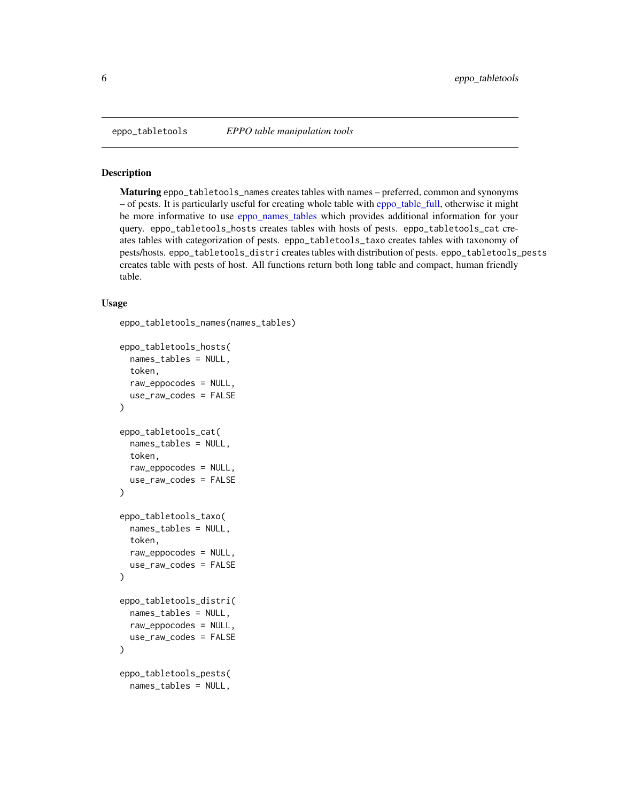<span id="page-5-0"></span>

#### <span id="page-5-1"></span>Description

Maturing eppo\_tabletools\_names creates tables with names – preferred, common and synonyms – of pests. It is particularly useful for creating whole table with [eppo\\_table\\_full,](#page-7-1) otherwise it might be more informative to use [eppo\\_names\\_tables](#page-4-1) which provides additional information for your query. eppo\_tabletools\_hosts creates tables with hosts of pests. eppo\_tabletools\_cat creates tables with categorization of pests. eppo\_tabletools\_taxo creates tables with taxonomy of pests/hosts. eppo\_tabletools\_distri creates tables with distribution of pests. eppo\_tabletools\_pests creates table with pests of host. All functions return both long table and compact, human friendly table.

#### Usage

```
eppo_tabletools_names(names_tables)
```

```
eppo_tabletools_hosts(
 names_tables = NULL,
 token,
  raw_eppocodes = NULL,
  use_raw_codes = FALSE
)
eppo_tabletools_cat(
  names_tables = NULL,
  token,
  raw_eppocodes = NULL,
  use_raw_codes = FALSE
)
eppo_tabletools_taxo(
  names_tables = NULL,
  token,
  raw_eppocodes = NULL,
 use_raw_codes = FALSE
)
eppo_tabletools_distri(
  names_tables = NULL,
  raw_eppocodes = NULL,
 use_raw_codes = FALSE
)
eppo_tabletools_pests(
  names_tables = NULL,
```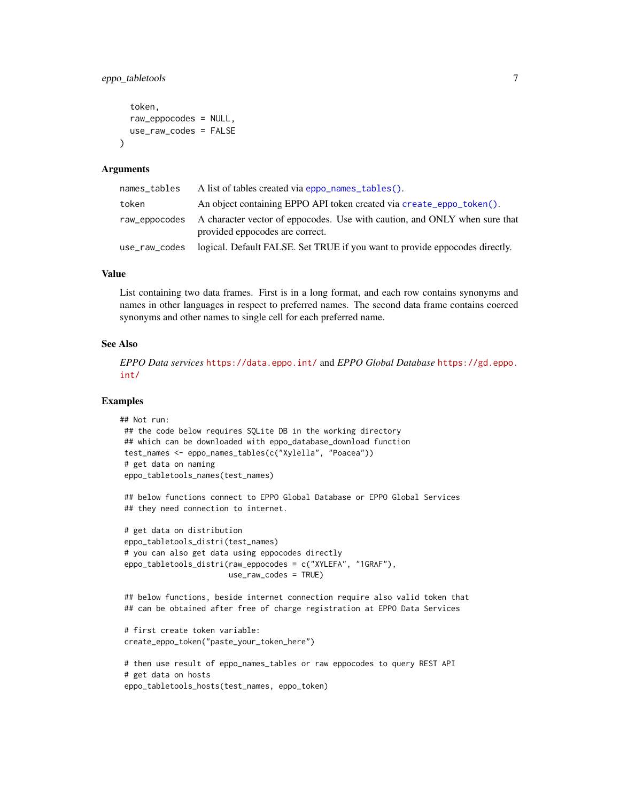#### <span id="page-6-0"></span>eppo\_tabletools 7

```
token,
  raw_eppocodes = NULL,
  use_raw_codes = FALSE
\lambda
```
#### **Arguments**

| names_tables  | A list of tables created via eppo_names_tables().                                                             |
|---------------|---------------------------------------------------------------------------------------------------------------|
| token         | An object containing EPPO API token created via create_eppo_token().                                          |
| raw_eppocodes | A character vector of eppocodes. Use with caution, and ONLY when sure that<br>provided eppocodes are correct. |
| use_raw_codes | logical. Default FALSE. Set TRUE if you want to provide eppocodes directly.                                   |

#### Value

List containing two data frames. First is in a long format, and each row contains synonyms and names in other languages in respect to preferred names. The second data frame contains coerced synonyms and other names to single cell for each preferred name.

#### See Also

*EPPO Data services* <https://data.eppo.int/> and *EPPO Global Database* [https://gd.eppo.](https://gd.eppo.int/) [int/](https://gd.eppo.int/)

#### Examples

```
## Not run:
## the code below requires SQLite DB in the working directory
## which can be downloaded with eppo_database_download function
test_names <- eppo_names_tables(c("Xylella", "Poacea"))
 # get data on naming
 eppo_tabletools_names(test_names)
```
## below functions connect to EPPO Global Database or EPPO Global Services ## they need connection to internet.

```
# get data on distribution
eppo_tabletools_distri(test_names)
# you can also get data using eppocodes directly
eppo_tabletools_distri(raw_eppocodes = c("XYLEFA", "1GRAF"),
                       use_raw_codes = TRUE)
```
## below functions, beside internet connection require also valid token that ## can be obtained after free of charge registration at EPPO Data Services

```
# first create token variable:
create_eppo_token("paste_your_token_here")
```

```
# then use result of eppo_names_tables or raw eppocodes to query REST API
# get data on hosts
eppo_tabletools_hosts(test_names, eppo_token)
```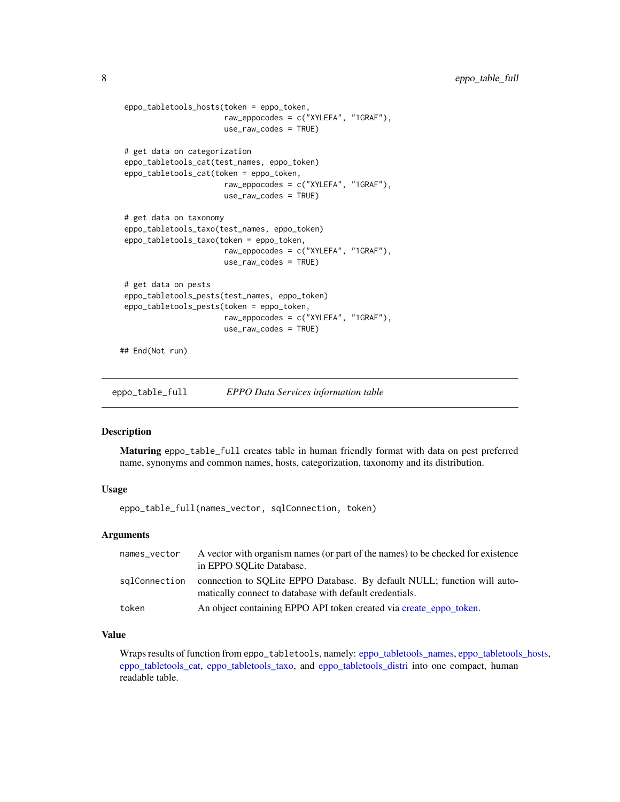```
eppo_tabletools_hosts(token = eppo_token,
                       raw_eppocodes = c("XYLEFA", "1GRAF"),
                       use_raw_codes = TRUE)
 # get data on categorization
 eppo_tabletools_cat(test_names, eppo_token)
 eppo_tabletools_cat(token = eppo_token,
                       raw_eppocodes = c("XYLEFA", "1GRAF"),
                       use_raw_codes = TRUE)
 # get data on taxonomy
 eppo_tabletools_taxo(test_names, eppo_token)
 eppo_tabletools_taxo(token = eppo_token,
                       raw_eppocodes = c("XYLEFA", "1GRAF"),
                       use_raw_codes = TRUE)
 # get data on pests
 eppo_tabletools_pests(test_names, eppo_token)
 eppo_tabletools_pests(token = eppo_token,
                       raw_eppocodes = c("XYLEFA", "1GRAF"),
                       use_raw_codes = TRUE)
## End(Not run)
```
<span id="page-7-1"></span>eppo\_table\_full *EPPO Data Services information table*

#### Description

Maturing eppo\_table\_full creates table in human friendly format with data on pest preferred name, synonyms and common names, hosts, categorization, taxonomy and its distribution.

#### Usage

eppo\_table\_full(names\_vector, sqlConnection, token)

#### **Arguments**

| names_vector  | A vector with organism names (or part of the names) to be checked for existence<br>in EPPO SOLite Database.                         |
|---------------|-------------------------------------------------------------------------------------------------------------------------------------|
| salConnection | connection to SOLite EPPO Database. By default NULL; function will auto-<br>matically connect to database with default credentials. |
| token         | An object containing EPPO API token created via create_eppo_token.                                                                  |

#### Value

Wraps results of function from eppo\_tabletools, namely: [eppo\\_tabletools\\_names,](#page-5-1) [eppo\\_tabletools\\_hosts,](#page-5-1) [eppo\\_tabletools\\_cat,](#page-5-1) [eppo\\_tabletools\\_taxo,](#page-5-1) and [eppo\\_tabletools\\_distri](#page-5-1) into one compact, human readable table.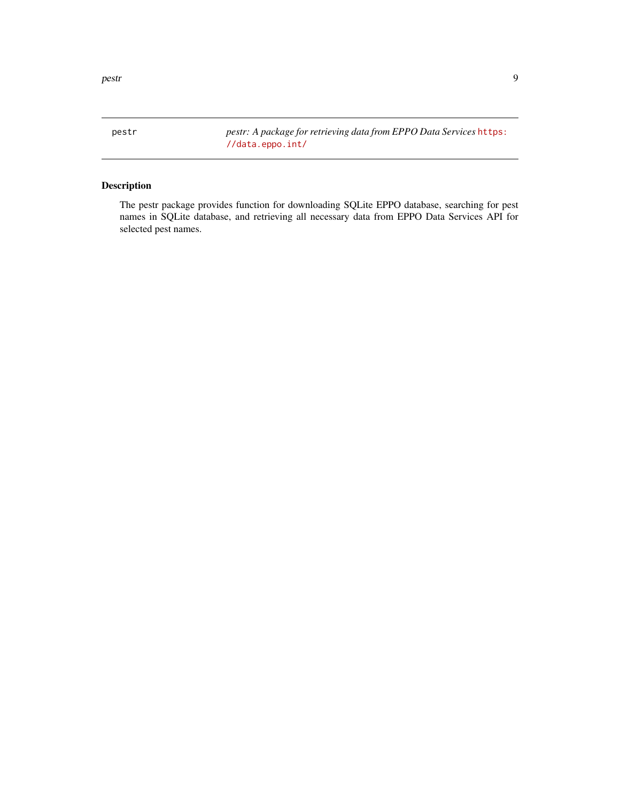<span id="page-8-0"></span>pestr the set of the set of the set of the set of the set of the set of the set of the set of the set of the set of the set of the set of the set of the set of the set of the set of the set of the set of the set of the set

pestr *pestr: A package for retrieving data from EPPO Data Services* [https:](https://data.eppo.int/) [//data.eppo.int/](https://data.eppo.int/)

#### Description

The pestr package provides function for downloading SQLite EPPO database, searching for pest names in SQLite database, and retrieving all necessary data from EPPO Data Services API for selected pest names.